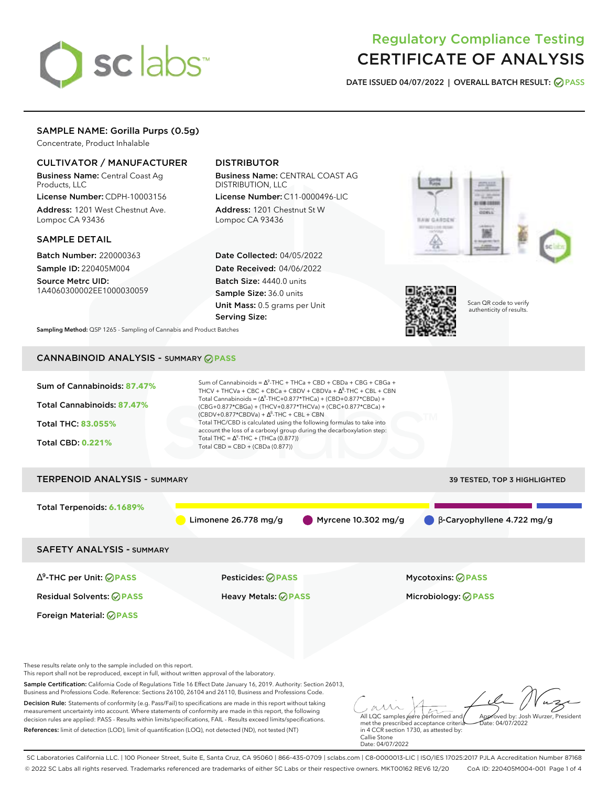# sclabs<sup>\*</sup>

# Regulatory Compliance Testing CERTIFICATE OF ANALYSIS

**DATE ISSUED 04/07/2022 | OVERALL BATCH RESULT: PASS**

# SAMPLE NAME: Gorilla Purps (0.5g)

Concentrate, Product Inhalable

# CULTIVATOR / MANUFACTURER

Business Name: Central Coast Ag Products, LLC

License Number: CDPH-10003156 Address: 1201 West Chestnut Ave. Lompoc CA 93436

# SAMPLE DETAIL

Batch Number: 220000363 Sample ID: 220405M004 Source Metrc UID:

1A4060300002EE1000030059

# DISTRIBUTOR

Business Name: CENTRAL COAST AG DISTRIBUTION, LLC License Number: C11-0000496-LIC

Address: 1201 Chestnut St W Lompoc CA 93436

Date Collected: 04/05/2022 Date Received: 04/06/2022 Batch Size: 4440.0 units Sample Size: 36.0 units Unit Mass: 0.5 grams per Unit Serving Size:





Scan QR code to verify authenticity of results.

**Sampling Method:** QSP 1265 - Sampling of Cannabis and Product Batches

# CANNABINOID ANALYSIS - SUMMARY **PASS**



References: limit of detection (LOD), limit of quantification (LOQ), not detected (ND), not tested (NT)

met the prescribed acceptance criteria in 4 CCR section 1730, as attested by: Callie Stone Date: 04/07/2022

SC Laboratories California LLC. | 100 Pioneer Street, Suite E, Santa Cruz, CA 95060 | 866-435-0709 | sclabs.com | C8-0000013-LIC | ISO/IES 17025:2017 PJLA Accreditation Number 87168 © 2022 SC Labs all rights reserved. Trademarks referenced are trademarks of either SC Labs or their respective owners. MKT00162 REV6 12/20 CoA ID: 220405M004-001 Page 1 of 4